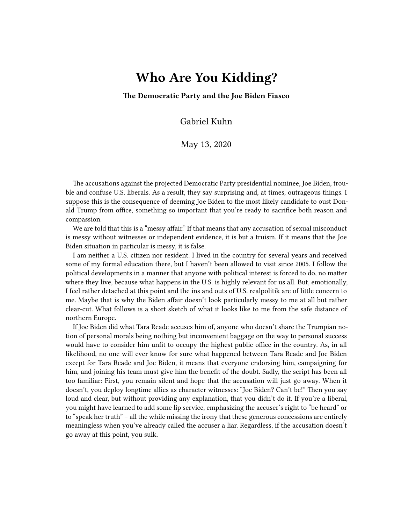## **Who Are You Kidding?**

**The Democratic Party and the Joe Biden Fiasco**

Gabriel Kuhn

May 13, 2020

The accusations against the projected Democratic Party presidential nominee, Joe Biden, trouble and confuse U.S. liberals. As a result, they say surprising and, at times, outrageous things. I suppose this is the consequence of deeming Joe Biden to the most likely candidate to oust Donald Trump from office, something so important that you're ready to sacrifice both reason and compassion.

We are told that this is a "messy affair." If that means that any accusation of sexual misconduct is messy without witnesses or independent evidence, it is but a truism. If it means that the Joe Biden situation in particular is messy, it is false.

I am neither a U.S. citizen nor resident. I lived in the country for several years and received some of my formal education there, but I haven't been allowed to visit since 2005. I follow the political developments in a manner that anyone with political interest is forced to do, no matter where they live, because what happens in the U.S. is highly relevant for us all. But, emotionally, I feel rather detached at this point and the ins and outs of U.S. realpolitik are of little concern to me. Maybe that is why the Biden affair doesn't look particularly messy to me at all but rather clear-cut. What follows is a short sketch of what it looks like to me from the safe distance of northern Europe.

If Joe Biden did what Tara Reade accuses him of, anyone who doesn't share the Trumpian notion of personal morals being nothing but inconvenient baggage on the way to personal success would have to consider him unfit to occupy the highest public office in the country. As, in all likelihood, no one will ever know for sure what happened between Tara Reade and Joe Biden except for Tara Reade and Joe Biden, it means that everyone endorsing him, campaigning for him, and joining his team must give him the benefit of the doubt. Sadly, the script has been all too familiar: First, you remain silent and hope that the accusation will just go away. When it doesn't, you deploy longtime allies as character witnesses: "Joe Biden? Can't be!" Then you say loud and clear, but without providing any explanation, that you didn't do it. If you're a liberal, you might have learned to add some lip service, emphasizing the accuser's right to "be heard" or to "speak her truth" – all the while missing the irony that these generous concessions are entirely meaningless when you've already called the accuser a liar. Regardless, if the accusation doesn't go away at this point, you sulk.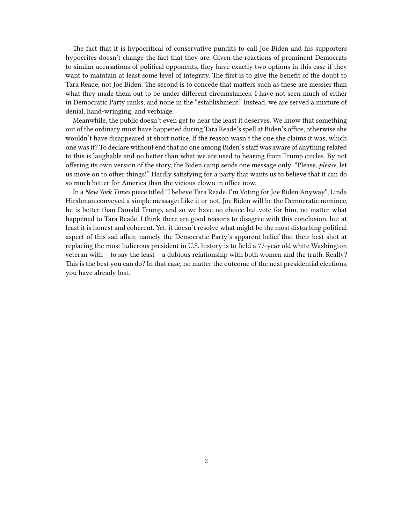The fact that it is hypocritical of conservative pundits to call Joe Biden and his supporters hypocrites doesn't change the fact that they are. Given the reactions of prominent Democrats to similar accusations of political opponents, they have exactly two options in this case if they want to maintain at least some level of integrity. The first is to give the benefit of the doubt to Tara Reade, not Joe Biden. The second is to concede that matters such as these are messier than what they made them out to be under different circumstances. I have not seen much of either in Democratic Party ranks, and none in the "establishment." Instead, we are served a mixture of denial, hand-wringing, and verbiage.

Meanwhile, the public doesn't even get to hear the least it deserves. We know that something out of the ordinary must have happened during Tara Reade's spell at Biden's office, otherwise she wouldn't have disappeared at short notice. If the reason wasn't the one she claims it was, which one was it? To declare without end that no one among Biden's staff was aware of anything related to this is laughable and no better than what we are used to hearing from Trump circles. By not offering its own version of the story, the Biden camp sends one message only: "Please, *please*, let us move on to other things!" Hardly satisfying for a party that wants us to believe that it can do so much better for America than the vicious clown in office now.

In a *New York Times* piece titled "I believe Tara Reade. I'm Voting for Joe Biden Anyway", Linda Hirshman conveyed a simple message: Like it or not, Joe Biden will be the Democratic nominee, he is better than Donald Trump, and so we have no choice but vote for him, no matter what happened to Tara Reade. I think there are good reasons to disagree with this conclusion, but at least it is honest and coherent. Yet, it doesn't resolve what might be the most disturbing political aspect of this sad affair, namely the Democratic Party's apparent belief that their best shot at replacing the most ludicrous president in U.S. history is to field a 77-year old white Washington veteran with – to say the least – a dubious relationship with both women and the truth. Really? This is the best you can do? In that case, no matter the outcome of the next presidential elections, you have already lost.